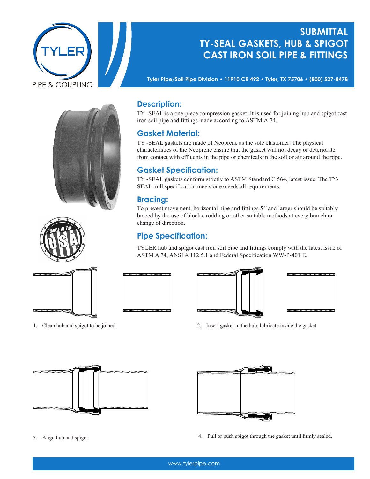

# **Submittal TY-SEAL GASKETS, HUB & SPIGOT CAST IRON SOIL PIPE & FITTINGS**

**Tyler Pipe/Soil Pipe Division • 11910 CR 492 • Tyler, TX 75706 • (800) 527-8478**







# **Description:**

TY-SEAL is a one-piece compression gasket. It is used for joining hub and spigot cast iron soil pipe and fittings made according to ASTM A 74.

#### **Gasket Material:**

TY -SEAL gaskets are made of Neoprene as the sole elastomer. The physical characteristics of the Neoprene ensure that the gasket will not decay or deteriorate from contact with effluents in the pipe or chemicals in the soil or air around the pipe.

### **Gasket Specification:**

TY -SEAL gaskets conform strictly to ASTM Standard C 564, latest issue. The TY-SEAL mill specification meets or exceeds all requirements.

## **Bracing:**

To prevent movement, horizontal pipe and fittings 5*"* and larger should be suitably braced by the use of blocks, rodding or other suitable methods at every branch or change of direction.

### **Pipe Specification:**

TYLER hub and spigot cast iron soil pipe and fittings comply with the latest issue of ASTM A 74, ANSI A 112.5.1 and Federal Specification WW-P-401 E.





1. Clean hub and spigot to be joined. 2. Insert gasket in the hub, lubricate inside the gasket





- 
- 3. Align hub and spigot. 4. Pull or push spigot through the gasket until firmly sealed.